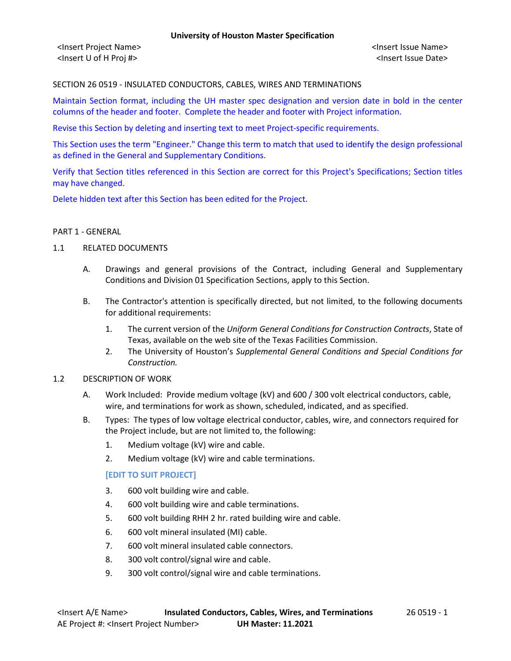<Insert Project Name> <Insert Issue Name> <Insert U of H Proj #> <Insert Issue Date>

#### SECTION 26 0519 - INSULATED CONDUCTORS, CABLES, WIRES AND TERMINATIONS

Maintain Section format, including the UH master spec designation and version date in bold in the center columns of the header and footer. Complete the header and footer with Project information.

Revise this Section by deleting and inserting text to meet Project-specific requirements.

This Section uses the term "Engineer." Change this term to match that used to identify the design professional as defined in the General and Supplementary Conditions.

Verify that Section titles referenced in this Section are correct for this Project's Specifications; Section titles may have changed.

Delete hidden text after this Section has been edited for the Project.

#### PART 1 - GENERAL

### 1.1 RELATED DOCUMENTS

- A. Drawings and general provisions of the Contract, including General and Supplementary Conditions and Division 01 Specification Sections, apply to this Section.
- B. The Contractor's attention is specifically directed, but not limited, to the following documents for additional requirements:
	- 1. The current version of the *Uniform General Conditions for Construction Contracts*, State of Texas, available on the web site of the Texas Facilities Commission.
	- 2. The University of Houston's *Supplemental General Conditions and Special Conditions for Construction.*

#### 1.2 DESCRIPTION OF WORK

- A. Work Included: Provide medium voltage (kV) and 600 / 300 volt electrical conductors, cable, wire, and terminations for work as shown, scheduled, indicated, and as specified.
- B. Types: The types of low voltage electrical conductor, cables, wire, and connectors required for the Project include, but are not limited to, the following:
	- 1. Medium voltage (kV) wire and cable.
	- 2. Medium voltage (kV) wire and cable terminations.

#### **[EDIT TO SUIT PROJECT]**

- 3. 600 volt building wire and cable.
- 4. 600 volt building wire and cable terminations.
- 5. 600 volt building RHH 2 hr. rated building wire and cable.
- 6. 600 volt mineral insulated (MI) cable.
- 7. 600 volt mineral insulated cable connectors.
- 8. 300 volt control/signal wire and cable.
- 9. 300 volt control/signal wire and cable terminations.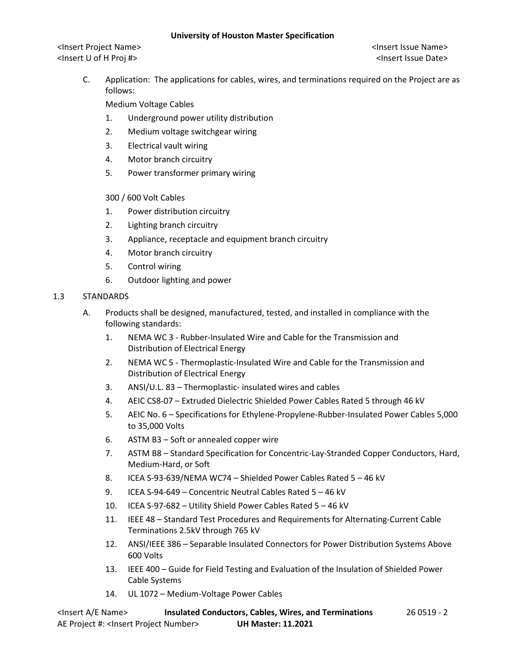<Insert Project Name> <Insert Issue Name> <Insert U of H Proj #> <Insert Issue Date>

C. Application: The applications for cables, wires, and terminations required on the Project are as follows:

Medium Voltage Cables

- 1. Underground power utility distribution
- 2. Medium voltage switchgear wiring
- 3. Electrical vault wiring
- 4. Motor branch circuitry
- 5. Power transformer primary wiring

## 300 / 600 Volt Cables

- 1. Power distribution circuitry
- 2. Lighting branch circuitry
- 3. Appliance, receptacle and equipment branch circuitry
- 4. Motor branch circuitry
- 5. Control wiring
- 6. Outdoor lighting and power

## 1.3 STANDARDS

- A. Products shall be designed, manufactured, tested, and installed in compliance with the following standards:
	- 1. NEMA WC 3 Rubber-Insulated Wire and Cable for the Transmission and Distribution of Electrical Energy
	- 2. NEMA WC 5 Thermoplastic-Insulated Wire and Cable for the Transmission and Distribution of Electrical Energy
	- 3. ANSI/U.L. 83 Thermoplastic- insulated wires and cables
	- 4. AEIC CS8-07 Extruded Dielectric Shielded Power Cables Rated 5 through 46 kV
	- 5. AEIC No. 6 Specifications for Ethylene-Propylene-Rubber-Insulated Power Cables 5,000 to 35,000 Volts
	- 6. ASTM B3 Soft or annealed copper wire
	- 7. ASTM B8 Standard Specification for Concentric-Lay-Stranded Copper Conductors, Hard, Medium-Hard, or Soft
	- 8. ICEA S-93-639/NEMA WC74 Shielded Power Cables Rated 5 46 kV
	- 9. ICEA S-94-649 Concentric Neutral Cables Rated 5 46 kV
	- 10. ICEA S-97-682 Utility Shield Power Cables Rated 5 46 kV
	- 11. IEEE 48 Standard Test Procedures and Requirements for Alternating-Current Cable Terminations 2.5kV through 765 kV
	- 12. ANSI/IEEE 386 Separable Insulated Connectors for Power Distribution Systems Above 600 Volts
	- 13. IEEE 400 Guide for Field Testing and Evaluation of the Insulation of Shielded Power Cable Systems
	- 14. UL 1072 Medium-Voltage Power Cables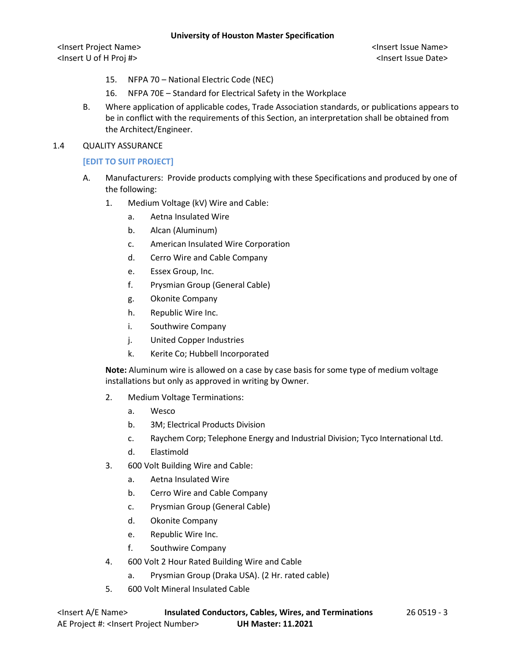<Insert Project Name> <Insert Issue Name> <Insert U of H Proj #> <Insert Issue Date>

- 15. NFPA 70 National Electric Code (NEC)
- 16. NFPA 70E Standard for Electrical Safety in the Workplace
- B. Where application of applicable codes, Trade Association standards, or publications appears to be in conflict with the requirements of this Section, an interpretation shall be obtained from the Architect/Engineer.
- 1.4 QUALITY ASSURANCE

## **[EDIT TO SUIT PROJECT]**

- A. Manufacturers: Provide products complying with these Specifications and produced by one of the following:
	- 1. Medium Voltage (kV) Wire and Cable:
		- a. Aetna Insulated Wire
		- b. Alcan (Aluminum)
		- c. American Insulated Wire Corporation
		- d. Cerro Wire and Cable Company
		- e. Essex Group, Inc.
		- f. Prysmian Group (General Cable)
		- g. Okonite Company
		- h. Republic Wire Inc.
		- i. Southwire Company
		- j. United Copper Industries
		- k. Kerite Co; Hubbell Incorporated

**Note:** Aluminum wire is allowed on a case by case basis for some type of medium voltage installations but only as approved in writing by Owner.

- 2. Medium Voltage Terminations:
	- a. Wesco
	- b. 3M; Electrical Products Division
	- c. Raychem Corp; Telephone Energy and Industrial Division; Tyco International Ltd.
	- d. Elastimold
- 3. 600 Volt Building Wire and Cable:
	- a. Aetna Insulated Wire
	- b. Cerro Wire and Cable Company
	- c. Prysmian Group (General Cable)
	- d. Okonite Company
	- e. Republic Wire Inc.
	- f. Southwire Company
- 4. 600 Volt 2 Hour Rated Building Wire and Cable
	- a. Prysmian Group (Draka USA). (2 Hr. rated cable)
- 5. 600 Volt Mineral Insulated Cable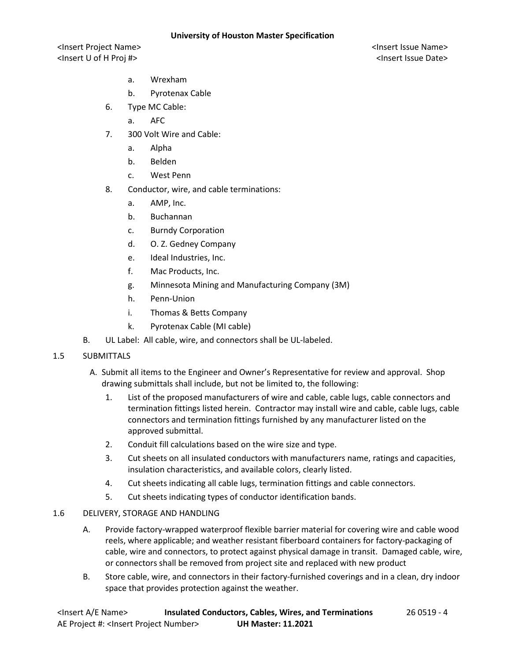<Insert Project Name> <Insert Issue Name> <Insert U of H Proj #> <Insert Issue Date>

- a. Wrexham
- b. Pyrotenax Cable
- 6. Type MC Cable:
	- a. AFC
- 7. 300 Volt Wire and Cable:
	- a. Alpha
	- b. Belden
	- c. West Penn
- 8. Conductor, wire, and cable terminations:
	- a. AMP, Inc.
	- b. Buchannan
	- c. Burndy Corporation
	- d. O. Z. Gedney Company
	- e. Ideal Industries, Inc.
	- f. Mac Products, Inc.
	- g. Minnesota Mining and Manufacturing Company (3M)
	- h. Penn-Union
	- i. Thomas & Betts Company
	- k. Pyrotenax Cable (MI cable)
- B. UL Label: All cable, wire, and connectors shall be UL-labeled.
- 1.5 SUBMITTALS
	- A. Submit all items to the Engineer and Owner's Representative for review and approval. Shop drawing submittals shall include, but not be limited to, the following:
		- 1. List of the proposed manufacturers of wire and cable, cable lugs, cable connectors and termination fittings listed herein. Contractor may install wire and cable, cable lugs, cable connectors and termination fittings furnished by any manufacturer listed on the approved submittal.
		- 2. Conduit fill calculations based on the wire size and type.
		- 3. Cut sheets on all insulated conductors with manufacturers name, ratings and capacities, insulation characteristics, and available colors, clearly listed.
		- 4. Cut sheets indicating all cable lugs, termination fittings and cable connectors.
		- 5. Cut sheets indicating types of conductor identification bands.

#### 1.6 DELIVERY, STORAGE AND HANDLING

- A. Provide factory-wrapped waterproof flexible barrier material for covering wire and cable wood reels, where applicable; and weather resistant fiberboard containers for factory-packaging of cable, wire and connectors, to protect against physical damage in transit. Damaged cable, wire, or connectors shall be removed from project site and replaced with new product
- B. Store cable, wire, and connectors in their factory-furnished coverings and in a clean, dry indoor space that provides protection against the weather.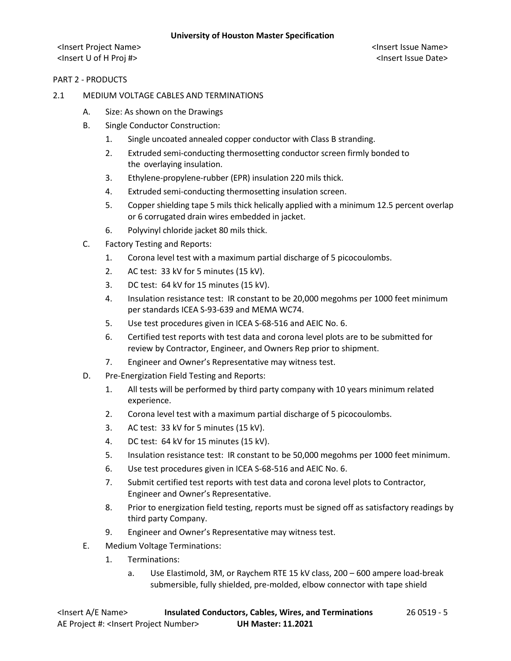<Insert Project Name> <Insert Issue Name> <Insert U of H Proj #> <Insert Issue Date>

#### PART 2 - PRODUCTS

#### 2.1 MEDIUM VOLTAGE CABLES AND TERMINATIONS

- A. Size: As shown on the Drawings
- B. Single Conductor Construction:
	- 1. Single uncoated annealed copper conductor with Class B stranding.
	- 2. Extruded semi-conducting thermosetting conductor screen firmly bonded to the overlaying insulation.
	- 3. Ethylene-propylene-rubber (EPR) insulation 220 mils thick.
	- 4. Extruded semi-conducting thermosetting insulation screen.
	- 5. Copper shielding tape 5 mils thick helically applied with a minimum 12.5 percent overlap or 6 corrugated drain wires embedded in jacket.
	- 6. Polyvinyl chloride jacket 80 mils thick.
- C. Factory Testing and Reports:
	- 1. Corona level test with a maximum partial discharge of 5 picocoulombs.
	- 2. AC test: 33 kV for 5 minutes (15 kV).
	- 3. DC test: 64 kV for 15 minutes (15 kV).
	- 4. Insulation resistance test: IR constant to be 20,000 megohms per 1000 feet minimum per standards ICEA S-93-639 and MEMA WC74.
	- 5. Use test procedures given in ICEA S-68-516 and AEIC No. 6.
	- 6. Certified test reports with test data and corona level plots are to be submitted for review by Contractor, Engineer, and Owners Rep prior to shipment.
	- 7. Engineer and Owner's Representative may witness test.
- D. Pre-Energization Field Testing and Reports:
	- 1. All tests will be performed by third party company with 10 years minimum related experience.
	- 2. Corona level test with a maximum partial discharge of 5 picocoulombs.
	- 3. AC test: 33 kV for 5 minutes (15 kV).
	- 4. DC test: 64 kV for 15 minutes (15 kV).
	- 5. Insulation resistance test: IR constant to be 50,000 megohms per 1000 feet minimum.
	- 6. Use test procedures given in ICEA S-68-516 and AEIC No. 6.
	- 7. Submit certified test reports with test data and corona level plots to Contractor, Engineer and Owner's Representative.
	- 8. Prior to energization field testing, reports must be signed off as satisfactory readings by third party Company.
	- 9. Engineer and Owner's Representative may witness test.
- E. Medium Voltage Terminations:
	- 1. Terminations:
		- a. Use Elastimold, 3M, or Raychem RTE 15 kV class, 200 600 ampere load-break submersible, fully shielded, pre-molded, elbow connector with tape shield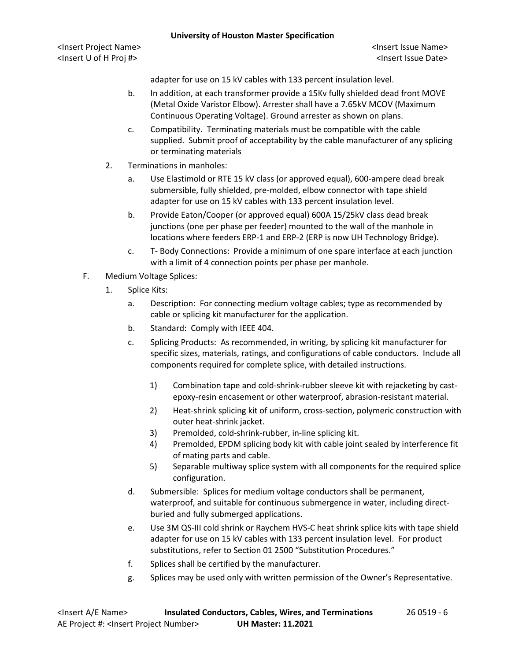<Insert Project Name> <Insert Issue Name> <Insert U of H Proj #> <Insert Issue Date>

adapter for use on 15 kV cables with 133 percent insulation level.

- b. In addition, at each transformer provide a 15Kv fully shielded dead front MOVE (Metal Oxide Varistor Elbow). Arrester shall have a 7.65kV MCOV (Maximum Continuous Operating Voltage). Ground arrester as shown on plans.
- c. Compatibility. Terminating materials must be compatible with the cable supplied. Submit proof of acceptability by the cable manufacturer of any splicing or terminating materials
- 2. Terminations in manholes:
	- a. Use Elastimold or RTE 15 kV class (or approved equal), 600-ampere dead break submersible, fully shielded, pre-molded, elbow connector with tape shield adapter for use on 15 kV cables with 133 percent insulation level.
	- b. Provide Eaton/Cooper (or approved equal) 600A 15/25kV class dead break junctions (one per phase per feeder) mounted to the wall of the manhole in locations where feeders ERP-1 and ERP-2 (ERP is now UH Technology Bridge).
	- c. T- Body Connections: Provide a minimum of one spare interface at each junction with a limit of 4 connection points per phase per manhole.
- F. Medium Voltage Splices:
	- 1. Splice Kits:
		- a. Description: For connecting medium voltage cables; type as recommended by cable or splicing kit manufacturer for the application.
		- b. Standard: Comply with IEEE 404.
		- c. Splicing Products: As recommended, in writing, by splicing kit manufacturer for specific sizes, materials, ratings, and configurations of cable conductors. Include all components required for complete splice, with detailed instructions.
			- 1) Combination tape and cold-shrink-rubber sleeve kit with rejacketing by castepoxy-resin encasement or other waterproof, abrasion-resistant material.
			- 2) Heat-shrink splicing kit of uniform, cross-section, polymeric construction with outer heat-shrink jacket.
			- 3) Premolded, cold-shrink-rubber, in-line splicing kit.
			- 4) Premolded, EPDM splicing body kit with cable joint sealed by interference fit of mating parts and cable.
			- 5) Separable multiway splice system with all components for the required splice configuration.
		- d. Submersible: Splices for medium voltage conductors shall be permanent, waterproof, and suitable for continuous submergence in water, including directburied and fully submerged applications.
		- e. Use 3M QS-III cold shrink or Raychem HVS-C heat shrink splice kits with tape shield adapter for use on 15 kV cables with 133 percent insulation level. For product substitutions, refer to Section 01 2500 "Substitution Procedures."
		- f. Splices shall be certified by the manufacturer.
		- g. Splices may be used only with written permission of the Owner's Representative.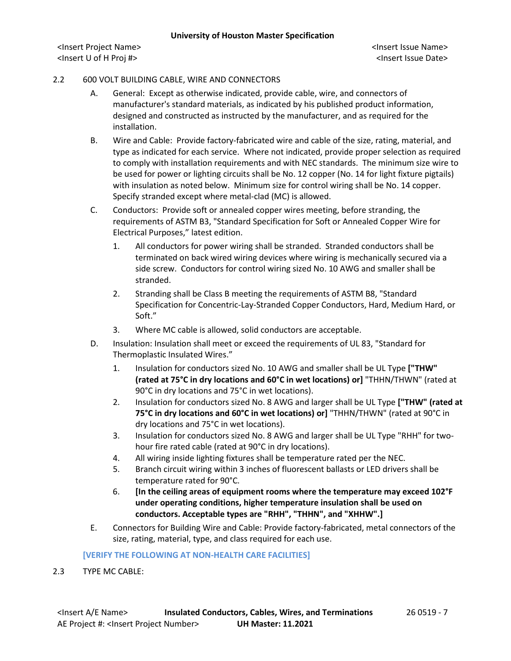<Insert Project Name> <Insert Issue Name> <Insert U of H Proj #> <Insert Issue Date>

### 2.2 600 VOLT BUILDING CABLE, WIRE AND CONNECTORS

- A. General: Except as otherwise indicated, provide cable, wire, and connectors of manufacturer's standard materials, as indicated by his published product information, designed and constructed as instructed by the manufacturer, and as required for the installation.
- B. Wire and Cable: Provide factory-fabricated wire and cable of the size, rating, material, and type as indicated for each service. Where not indicated, provide proper selection as required to comply with installation requirements and with NEC standards. The minimum size wire to be used for power or lighting circuits shall be No. 12 copper (No. 14 for light fixture pigtails) with insulation as noted below. Minimum size for control wiring shall be No. 14 copper. Specify stranded except where metal-clad (MC) is allowed.
- C. Conductors: Provide soft or annealed copper wires meeting, before stranding, the requirements of ASTM B3, "Standard Specification for Soft or Annealed Copper Wire for Electrical Purposes," latest edition.
	- 1. All conductors for power wiring shall be stranded. Stranded conductors shall be terminated on back wired wiring devices where wiring is mechanically secured via a side screw. Conductors for control wiring sized No. 10 AWG and smaller shall be stranded.
	- 2. Stranding shall be Class B meeting the requirements of ASTM B8, "Standard Specification for Concentric-Lay-Stranded Copper Conductors, Hard, Medium Hard, or Soft."
	- 3. Where MC cable is allowed, solid conductors are acceptable.
- D. Insulation: Insulation shall meet or exceed the requirements of UL 83, "Standard for Thermoplastic Insulated Wires."
	- 1. Insulation for conductors sized No. 10 AWG and smaller shall be UL Type **["THW" (rated at 75°C in dry locations and 60°C in wet locations) or]** "THHN/THWN" (rated at 90°C in dry locations and 75°C in wet locations).
	- 2. Insulation for conductors sized No. 8 AWG and larger shall be UL Type **["THW" (rated at 75°C in dry locations and 60°C in wet locations) or]** "THHN/THWN" (rated at 90°C in dry locations and 75°C in wet locations).
	- 3. Insulation for conductors sized No. 8 AWG and larger shall be UL Type "RHH" for twohour fire rated cable (rated at 90°C in dry locations).
	- 4. All wiring inside lighting fixtures shall be temperature rated per the NEC.
	- 5. Branch circuit wiring within 3 inches of fluorescent ballasts or LED drivers shall be temperature rated for 90°C.
	- 6. **[In the ceiling areas of equipment rooms where the temperature may exceed 102°F under operating conditions, higher temperature insulation shall be used on conductors. Acceptable types are "RHH", "THHN", and "XHHW".]**
- E. Connectors for Building Wire and Cable: Provide factory-fabricated, metal connectors of the size, rating, material, type, and class required for each use.

#### **[VERIFY THE FOLLOWING AT NON-HEALTH CARE FACILITIES]**

2.3 TYPE MC CABLE: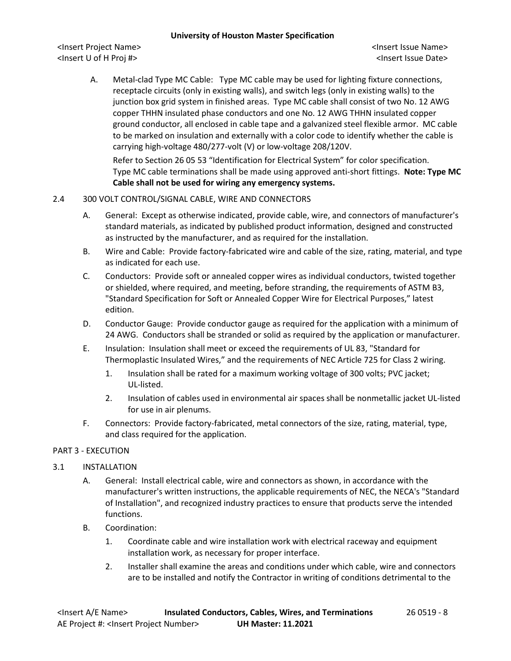<Insert Project Name> <Insert Issue Name> <Insert U of H Proj #> <Insert Issue Date>

A. Metal-clad Type MC Cable: Type MC cable may be used for lighting fixture connections, receptacle circuits (only in existing walls), and switch legs (only in existing walls) to the junction box grid system in finished areas. Type MC cable shall consist of two No. 12 AWG copper THHN insulated phase conductors and one No. 12 AWG THHN insulated copper ground conductor, all enclosed in cable tape and a galvanized steel flexible armor. MC cable to be marked on insulation and externally with a color code to identify whether the cable is carrying high-voltage 480/277-volt (V) or low-voltage 208/120V.

Refer to Section 26 05 53 "Identification for Electrical System" for color specification. Type MC cable terminations shall be made using approved anti-short fittings. **Note: Type MC Cable shall not be used for wiring any emergency systems.**

## 2.4 300 VOLT CONTROL/SIGNAL CABLE, WIRE AND CONNECTORS

- A. General: Except as otherwise indicated, provide cable, wire, and connectors of manufacturer's standard materials, as indicated by published product information, designed and constructed as instructed by the manufacturer, and as required for the installation.
- B. Wire and Cable: Provide factory-fabricated wire and cable of the size, rating, material, and type as indicated for each use.
- C. Conductors: Provide soft or annealed copper wires as individual conductors, twisted together or shielded, where required, and meeting, before stranding, the requirements of ASTM B3, "Standard Specification for Soft or Annealed Copper Wire for Electrical Purposes," latest edition.
- D. Conductor Gauge: Provide conductor gauge as required for the application with a minimum of 24 AWG. Conductors shall be stranded or solid as required by the application or manufacturer.
- E. Insulation: Insulation shall meet or exceed the requirements of UL 83, "Standard for Thermoplastic Insulated Wires," and the requirements of NEC Article 725 for Class 2 wiring.
	- 1. Insulation shall be rated for a maximum working voltage of 300 volts; PVC jacket; UL-listed.
	- 2. Insulation of cables used in environmental air spaces shall be nonmetallic jacket UL-listed for use in air plenums.
- F. Connectors: Provide factory-fabricated, metal connectors of the size, rating, material, type, and class required for the application.

## PART 3 - EXECUTION

## 3.1 INSTALLATION

- A. General: Install electrical cable, wire and connectors as shown, in accordance with the manufacturer's written instructions, the applicable requirements of NEC, the NECA's "Standard of Installation", and recognized industry practices to ensure that products serve the intended functions.
- B. Coordination:
	- 1. Coordinate cable and wire installation work with electrical raceway and equipment installation work, as necessary for proper interface.
	- 2. Installer shall examine the areas and conditions under which cable, wire and connectors are to be installed and notify the Contractor in writing of conditions detrimental to the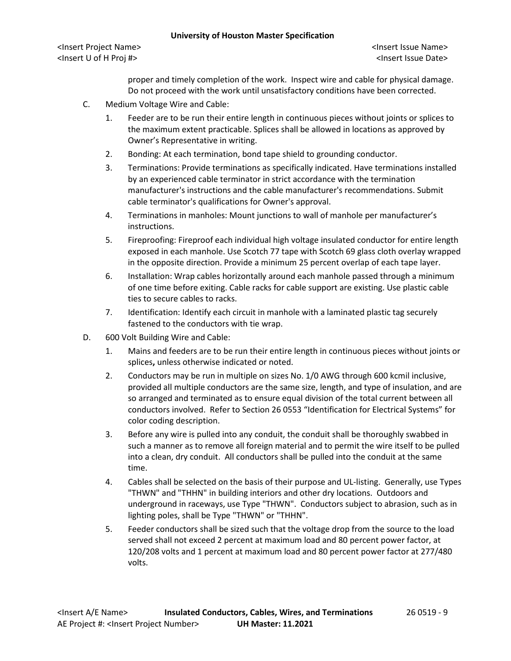<Insert Project Name> <Insert Issue Name> <Insert U of H Proj #> <Insert Issue Date>

proper and timely completion of the work. Inspect wire and cable for physical damage. Do not proceed with the work until unsatisfactory conditions have been corrected.

- C. Medium Voltage Wire and Cable:
	- 1. Feeder are to be run their entire length in continuous pieces without joints or splices to the maximum extent practicable. Splices shall be allowed in locations as approved by Owner's Representative in writing.
	- 2. Bonding: At each termination, bond tape shield to grounding conductor.
	- 3. Terminations: Provide terminations as specifically indicated. Have terminations installed by an experienced cable terminator in strict accordance with the termination manufacturer's instructions and the cable manufacturer's recommendations. Submit cable terminator's qualifications for Owner's approval.
	- 4. Terminations in manholes: Mount junctions to wall of manhole per manufacturer's instructions.
	- 5. Fireproofing: Fireproof each individual high voltage insulated conductor for entire length exposed in each manhole. Use Scotch 77 tape with Scotch 69 glass cloth overlay wrapped in the opposite direction. Provide a minimum 25 percent overlap of each tape layer.
	- 6. Installation: Wrap cables horizontally around each manhole passed through a minimum of one time before exiting. Cable racks for cable support are existing. Use plastic cable ties to secure cables to racks.
	- 7. Identification: Identify each circuit in manhole with a laminated plastic tag securely fastened to the conductors with tie wrap.
- D. 600 Volt Building Wire and Cable:
	- 1. Mains and feeders are to be run their entire length in continuous pieces without joints or splices**,** unless otherwise indicated or noted.
	- 2. Conductors may be run in multiple on sizes No. 1/0 AWG through 600 kcmil inclusive, provided all multiple conductors are the same size, length, and type of insulation, and are so arranged and terminated as to ensure equal division of the total current between all conductors involved. Refer to Section 26 0553 "Identification for Electrical Systems" for color coding description.
	- 3. Before any wire is pulled into any conduit, the conduit shall be thoroughly swabbed in such a manner as to remove all foreign material and to permit the wire itself to be pulled into a clean, dry conduit. All conductors shall be pulled into the conduit at the same time.
	- 4. Cables shall be selected on the basis of their purpose and UL-listing. Generally, use Types "THWN" and "THHN" in building interiors and other dry locations. Outdoors and underground in raceways, use Type "THWN". Conductors subject to abrasion, such as in lighting poles, shall be Type "THWN" or "THHN".
	- 5. Feeder conductors shall be sized such that the voltage drop from the source to the load served shall not exceed 2 percent at maximum load and 80 percent power factor, at 120/208 volts and 1 percent at maximum load and 80 percent power factor at 277/480 volts.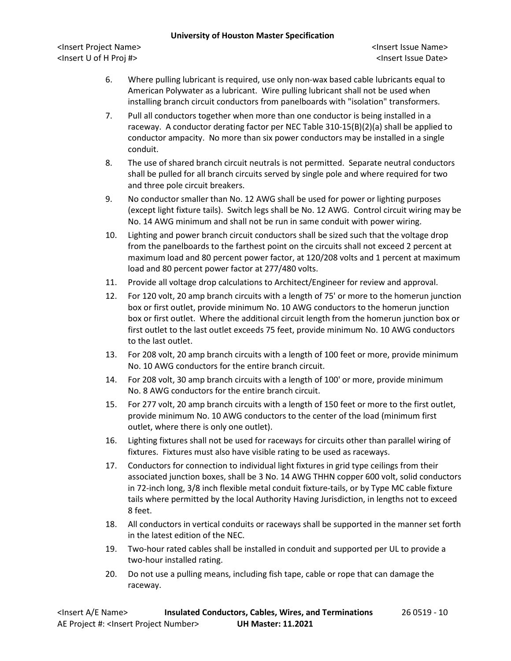<Insert Project Name> <Insert Issue Name> <Insert U of H Proj #> <Insert Issue Date>

- 6. Where pulling lubricant is required, use only non-wax based cable lubricants equal to American Polywater as a lubricant. Wire pulling lubricant shall not be used when installing branch circuit conductors from panelboards with "isolation" transformers.
- 7. Pull all conductors together when more than one conductor is being installed in a raceway. A conductor derating factor per NEC Table 310-15(B)(2)(a) shall be applied to conductor ampacity. No more than six power conductors may be installed in a single conduit.
- 8. The use of shared branch circuit neutrals is not permitted. Separate neutral conductors shall be pulled for all branch circuits served by single pole and where required for two and three pole circuit breakers.
- 9. No conductor smaller than No. 12 AWG shall be used for power or lighting purposes (except light fixture tails). Switch legs shall be No. 12 AWG. Control circuit wiring may be No. 14 AWG minimum and shall not be run in same conduit with power wiring.
- 10. Lighting and power branch circuit conductors shall be sized such that the voltage drop from the panelboards to the farthest point on the circuits shall not exceed 2 percent at maximum load and 80 percent power factor, at 120/208 volts and 1 percent at maximum load and 80 percent power factor at 277/480 volts.
- 11. Provide all voltage drop calculations to Architect/Engineer for review and approval.
- 12. For 120 volt, 20 amp branch circuits with a length of 75' or more to the homerun junction box or first outlet, provide minimum No. 10 AWG conductors to the homerun junction box or first outlet. Where the additional circuit length from the homerun junction box or first outlet to the last outlet exceeds 75 feet, provide minimum No. 10 AWG conductors to the last outlet.
- 13. For 208 volt, 20 amp branch circuits with a length of 100 feet or more, provide minimum No. 10 AWG conductors for the entire branch circuit.
- 14. For 208 volt, 30 amp branch circuits with a length of 100' or more, provide minimum No. 8 AWG conductors for the entire branch circuit.
- 15. For 277 volt, 20 amp branch circuits with a length of 150 feet or more to the first outlet, provide minimum No. 10 AWG conductors to the center of the load (minimum first outlet, where there is only one outlet).
- 16. Lighting fixtures shall not be used for raceways for circuits other than parallel wiring of fixtures. Fixtures must also have visible rating to be used as raceways.
- 17. Conductors for connection to individual light fixtures in grid type ceilings from their associated junction boxes, shall be 3 No. 14 AWG THHN copper 600 volt, solid conductors in 72-inch long, 3/8 inch flexible metal conduit fixture-tails, or by Type MC cable fixture tails where permitted by the local Authority Having Jurisdiction, in lengths not to exceed 8 feet.
- 18. All conductors in vertical conduits or raceways shall be supported in the manner set forth in the latest edition of the NEC.
- 19. Two-hour rated cables shall be installed in conduit and supported per UL to provide a two-hour installed rating.
- 20. Do not use a pulling means, including fish tape, cable or rope that can damage the raceway.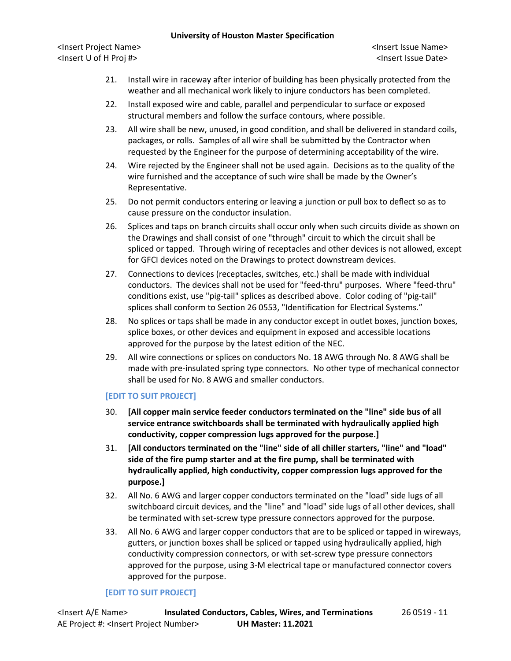<Insert Project Name> <Insert Issue Name> <Insert U of H Proj #> <Insert Issue Date>

- 21. Install wire in raceway after interior of building has been physically protected from the weather and all mechanical work likely to injure conductors has been completed.
- 22. Install exposed wire and cable, parallel and perpendicular to surface or exposed structural members and follow the surface contours, where possible.
- 23. All wire shall be new, unused, in good condition, and shall be delivered in standard coils, packages, or rolls. Samples of all wire shall be submitted by the Contractor when requested by the Engineer for the purpose of determining acceptability of the wire.
- 24. Wire rejected by the Engineer shall not be used again. Decisions as to the quality of the wire furnished and the acceptance of such wire shall be made by the Owner's Representative.
- 25. Do not permit conductors entering or leaving a junction or pull box to deflect so as to cause pressure on the conductor insulation.
- 26. Splices and taps on branch circuits shall occur only when such circuits divide as shown on the Drawings and shall consist of one "through" circuit to which the circuit shall be spliced or tapped. Through wiring of receptacles and other devices is not allowed, except for GFCI devices noted on the Drawings to protect downstream devices.
- 27. Connections to devices (receptacles, switches, etc.) shall be made with individual conductors. The devices shall not be used for "feed-thru" purposes. Where "feed-thru" conditions exist, use "pig-tail" splices as described above. Color coding of "pig-tail" splices shall conform to Section 26 0553, "Identification for Electrical Systems."
- 28. No splices or taps shall be made in any conductor except in outlet boxes, junction boxes, splice boxes, or other devices and equipment in exposed and accessible locations approved for the purpose by the latest edition of the NEC.
- 29. All wire connections or splices on conductors No. 18 AWG through No. 8 AWG shall be made with pre-insulated spring type connectors. No other type of mechanical connector shall be used for No. 8 AWG and smaller conductors.

## **[EDIT TO SUIT PROJECT]**

- 30. **[All copper main service feeder conductors terminated on the "line" side bus of all service entrance switchboards shall be terminated with hydraulically applied high conductivity, copper compression lugs approved for the purpose.]**
- 31. **[All conductors terminated on the "line" side of all chiller starters, "line" and "load" side of the fire pump starter and at the fire pump, shall be terminated with hydraulically applied, high conductivity, copper compression lugs approved for the purpose.]**
- 32. All No. 6 AWG and larger copper conductors terminated on the "load" side lugs of all switchboard circuit devices, and the "line" and "load" side lugs of all other devices, shall be terminated with set-screw type pressure connectors approved for the purpose.
- 33. All No. 6 AWG and larger copper conductors that are to be spliced or tapped in wireways, gutters, or junction boxes shall be spliced or tapped using hydraulically applied, high conductivity compression connectors, or with set-screw type pressure connectors approved for the purpose, using 3-M electrical tape or manufactured connector covers approved for the purpose.

## **[EDIT TO SUIT PROJECT]**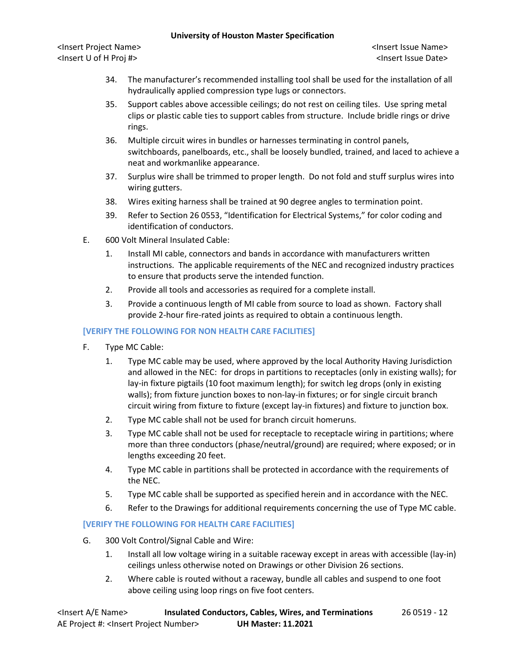<Insert Project Name> <Insert Issue Name> <Insert U of H Proj #> <Insert Issue Date>

- 34. The manufacturer's recommended installing tool shall be used for the installation of all hydraulically applied compression type lugs or connectors.
- 35. Support cables above accessible ceilings; do not rest on ceiling tiles. Use spring metal clips or plastic cable ties to support cables from structure. Include bridle rings or drive rings.
- 36. Multiple circuit wires in bundles or harnesses terminating in control panels, switchboards, panelboards, etc., shall be loosely bundled, trained, and laced to achieve a neat and workmanlike appearance.
- 37. Surplus wire shall be trimmed to proper length. Do not fold and stuff surplus wires into wiring gutters.
- 38. Wires exiting harness shall be trained at 90 degree angles to termination point.
- 39. Refer to Section 26 0553, "Identification for Electrical Systems," for color coding and identification of conductors.
- E. 600 Volt Mineral Insulated Cable:
	- 1. Install MI cable, connectors and bands in accordance with manufacturers written instructions. The applicable requirements of the NEC and recognized industry practices to ensure that products serve the intended function.
	- 2. Provide all tools and accessories as required for a complete install.
	- 3. Provide a continuous length of MI cable from source to load as shown. Factory shall provide 2-hour fire-rated joints as required to obtain a continuous length.

# **[VERIFY THE FOLLOWING FOR NON HEALTH CARE FACILITIES]**

- F. Type MC Cable:
	- 1. Type MC cable may be used, where approved by the local Authority Having Jurisdiction and allowed in the NEC: for drops in partitions to receptacles (only in existing walls); for lay-in fixture pigtails (10 foot maximum length); for switch leg drops (only in existing walls); from fixture junction boxes to non-lay-in fixtures; or for single circuit branch circuit wiring from fixture to fixture (except lay-in fixtures) and fixture to junction box.
	- 2. Type MC cable shall not be used for branch circuit homeruns.
	- 3. Type MC cable shall not be used for receptacle to receptacle wiring in partitions; where more than three conductors (phase/neutral/ground) are required; where exposed; or in lengths exceeding 20 feet.
	- 4. Type MC cable in partitions shall be protected in accordance with the requirements of the NEC.
	- 5. Type MC cable shall be supported as specified herein and in accordance with the NEC.
	- 6. Refer to the Drawings for additional requirements concerning the use of Type MC cable.

## **[VERIFY THE FOLLOWING FOR HEALTH CARE FACILITIES]**

- G. 300 Volt Control/Signal Cable and Wire:
	- 1. Install all low voltage wiring in a suitable raceway except in areas with accessible (lay-in) ceilings unless otherwise noted on Drawings or other Division 26 sections.
	- 2. Where cable is routed without a raceway, bundle all cables and suspend to one foot above ceiling using loop rings on five foot centers.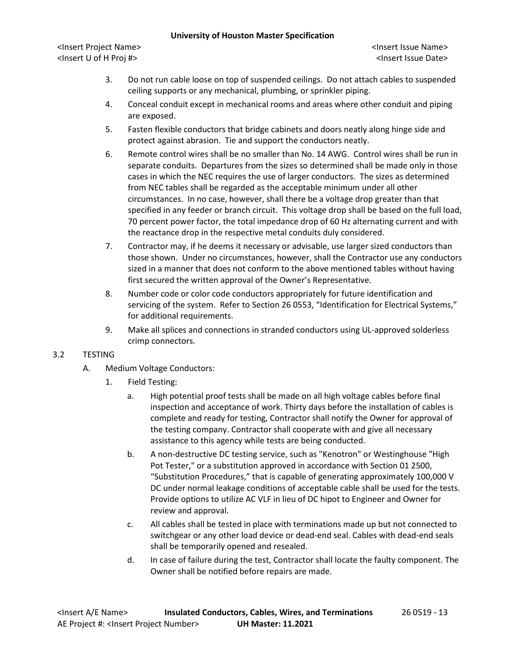<Insert Project Name> <Insert Issue Name> <Insert U of H Proj #> <Insert Issue Date>

- 3. Do not run cable loose on top of suspended ceilings. Do not attach cables to suspended ceiling supports or any mechanical, plumbing, or sprinkler piping.
- 4. Conceal conduit except in mechanical rooms and areas where other conduit and piping are exposed.
- 5. Fasten flexible conductors that bridge cabinets and doors neatly along hinge side and protect against abrasion. Tie and support the conductors neatly.
- 6. Remote control wires shall be no smaller than No. 14 AWG. Control wires shall be run in separate conduits. Departures from the sizes so determined shall be made only in those cases in which the NEC requires the use of larger conductors. The sizes as determined from NEC tables shall be regarded as the acceptable minimum under all other circumstances. In no case, however, shall there be a voltage drop greater than that specified in any feeder or branch circuit. This voltage drop shall be based on the full load, 70 percent power factor, the total impedance drop of 60 Hz alternating current and with the reactance drop in the respective metal conduits duly considered.
- 7. Contractor may, if he deems it necessary or advisable, use larger sized conductors than those shown. Under no circumstances, however, shall the Contractor use any conductors sized in a manner that does not conform to the above mentioned tables without having first secured the written approval of the Owner's Representative.
- 8. Number code or color code conductors appropriately for future identification and servicing of the system. Refer to Section 26 0553, "Identification for Electrical Systems," for additional requirements.
- 9. Make all splices and connections in stranded conductors using UL-approved solderless crimp connectors.

## 3.2 TESTING

- A. Medium Voltage Conductors:
	- 1. Field Testing:
		- a. High potential proof tests shall be made on all high voltage cables before final inspection and acceptance of work. Thirty days before the installation of cables is complete and ready for testing, Contractor shall notify the Owner for approval of the testing company. Contractor shall cooperate with and give all necessary assistance to this agency while tests are being conducted.
		- b. A non-destructive DC testing service, such as "Kenotron" or Westinghouse "High Pot Tester," or a substitution approved in accordance with Section 01 2500, "Substitution Procedures," that is capable of generating approximately 100,000 V DC under normal leakage conditions of acceptable cable shall be used for the tests. Provide options to utilize AC VLF in lieu of DC hipot to Engineer and Owner for review and approval.
		- c. All cables shall be tested in place with terminations made up but not connected to switchgear or any other load device or dead-end seal. Cables with dead-end seals shall be temporarily opened and resealed.
		- d. In case of failure during the test, Contractor shall locate the faulty component. The Owner shall be notified before repairs are made.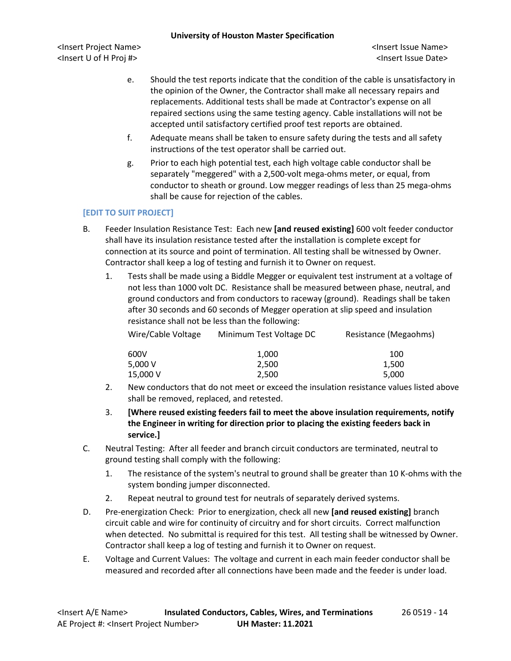<Insert Project Name> <Insert Issue Name> <Insert U of H Proj #> <Insert Issue Date>

- e. Should the test reports indicate that the condition of the cable is unsatisfactory in the opinion of the Owner, the Contractor shall make all necessary repairs and replacements. Additional tests shall be made at Contractor's expense on all repaired sections using the same testing agency. Cable installations will not be accepted until satisfactory certified proof test reports are obtained.
- f. Adequate means shall be taken to ensure safety during the tests and all safety instructions of the test operator shall be carried out.
- g. Prior to each high potential test, each high voltage cable conductor shall be separately "meggered" with a 2,500-volt mega-ohms meter, or equal, from conductor to sheath or ground. Low megger readings of less than 25 mega-ohms shall be cause for rejection of the cables.

# **[EDIT TO SUIT PROJECT]**

- B. Feeder Insulation Resistance Test: Each new **[and reused existing]** 600 volt feeder conductor shall have its insulation resistance tested after the installation is complete except for connection at its source and point of termination. All testing shall be witnessed by Owner. Contractor shall keep a log of testing and furnish it to Owner on request.
	- 1. Tests shall be made using a Biddle Megger or equivalent test instrument at a voltage of not less than 1000 volt DC. Resistance shall be measured between phase, neutral, and ground conductors and from conductors to raceway (ground). Readings shall be taken after 30 seconds and 60 seconds of Megger operation at slip speed and insulation resistance shall not be less than the following:

| Wire/Cable Voltage | Minimum Test Voltage DC | Resistance (Megaohms) |
|--------------------|-------------------------|-----------------------|
| 600V               | 1.000                   | 100                   |
| 5.000 V            | 2.500                   | 1.500                 |
| 15,000 V           | 2.500                   | 5,000                 |

- 2. New conductors that do not meet or exceed the insulation resistance values listed above shall be removed, replaced, and retested.
- 3. **[Where reused existing feeders fail to meet the above insulation requirements, notify the Engineer in writing for direction prior to placing the existing feeders back in service.]**
- C. Neutral Testing: After all feeder and branch circuit conductors are terminated, neutral to ground testing shall comply with the following:
	- 1. The resistance of the system's neutral to ground shall be greater than 10 K-ohms with the system bonding jumper disconnected.
	- 2. Repeat neutral to ground test for neutrals of separately derived systems.
- D. Pre-energization Check: Prior to energization, check all new **[and reused existing]** branch circuit cable and wire for continuity of circuitry and for short circuits. Correct malfunction when detected. No submittal is required for this test. All testing shall be witnessed by Owner. Contractor shall keep a log of testing and furnish it to Owner on request.
- E. Voltage and Current Values: The voltage and current in each main feeder conductor shall be measured and recorded after all connections have been made and the feeder is under load.